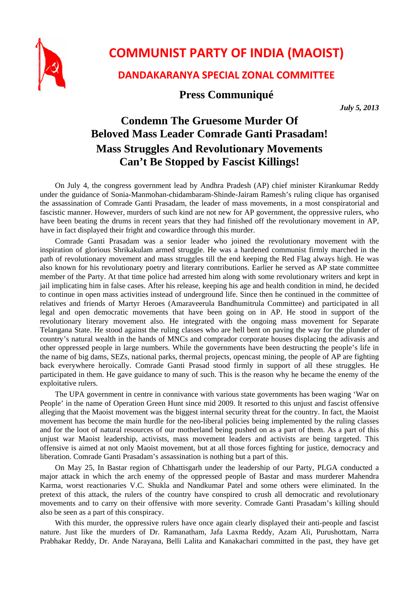

## **COMMUNIST PARTY OF INDIA (MAOIST)**

## **DANDAKARANYA SPECIAL ZONAL COMMITTEE**

## **Press Communiqué**

*July 5, 2013*

## **Condemn The Gruesome Murder Of Beloved Mass Leader Comrade Ganti Prasadam! Mass Struggles And Revolutionary Movements Can't Be Stopped by Fascist Killings!**

On July 4, the congress government lead by Andhra Pradesh (AP) chief minister Kirankumar Reddy under the guidance of Sonia-Manmohan-chidambaram-Shinde-Jairam Ramesh's ruling clique has organised the assassination of Comrade Ganti Prasadam, the leader of mass movements, in a most conspiratorial and fascistic manner. However, murders of such kind are not new for AP government, the oppressive rulers, who have been beating the drums in recent years that they had finished off the revolutionary movement in AP, have in fact displayed their fright and cowardice through this murder.

Comrade Ganti Prasadam was a senior leader who joined the revolutionary movement with the inspiration of glorious Shrikakulam armed struggle. He was a hardened communist firmly marched in the path of revolutionary movement and mass struggles till the end keeping the Red Flag always high. He was also known for his revolutionary poetry and literary contributions. Earlier he served as AP state committee member of the Party. At that time police had arrested him along with some revolutionary writers and kept in jail implicating him in false cases. After his release, keeping his age and health condition in mind, he decided to continue in open mass activities instead of underground life. Since then he continued in the committee of relatives and friends of Martyr Heroes (Amaraveerula Bandhumitrula Committee) and participated in all legal and open democratic movements that have been going on in AP. He stood in support of the revolutionary literary movement also. He integrated with the ongoing mass movement for Separate Telangana State. He stood against the ruling classes who are hell bent on paving the way for the plunder of country's natural wealth in the hands of MNCs and comprador corporate houses displacing the adivasis and other oppressed people in large numbers. While the governments have been destructing the people's life in the name of big dams, SEZs, national parks, thermal projects, opencast mining, the people of AP are fighting back everywhere heroically. Comrade Ganti Prasad stood firmly in support of all these struggles. He participated in them. He gave guidance to many of such. This is the reason why he became the enemy of the exploitative rulers.

The UPA government in centre in connivance with various state governments has been waging 'War on People' in the name of Operation Green Hunt since mid 2009. It resorted to this unjust and fascist offensive alleging that the Maoist movement was the biggest internal security threat for the country. In fact, the Maoist movement has become the main hurdle for the neo-liberal policies being implemented by the ruling classes and for the loot of natural resources of our motherland being pushed on as a part of them. As a part of this unjust war Maoist leadership, activists, mass movement leaders and activists are being targeted. This offensive is aimed at not only Maoist movement, but at all those forces fighting for justice, democracy and liberation. Comrade Ganti Prasadam's assassination is nothing but a part of this.

On May 25, In Bastar region of Chhattisgarh under the leadership of our Party, PLGA conducted a major attack in which the arch enemy of the oppressed people of Bastar and mass murderer Mahendra Karma, worst reactionaries V.C. Shukla and Nandkumar Patel and some others were eliminated. In the pretext of this attack, the rulers of the country have conspired to crush all democratic and revolutionary movements and to carry on their offensive with more severity. Comrade Ganti Prasadam's killing should also be seen as a part of this conspiracy.

With this murder, the oppressive rulers have once again clearly displayed their anti-people and fascist nature. Just like the murders of Dr. Ramanatham, Jafa Laxma Reddy, Azam Ali, Purushottam, Narra Prabhakar Reddy, Dr. Ande Narayana, Belli Lalita and Kanakachari committed in the past, they have get